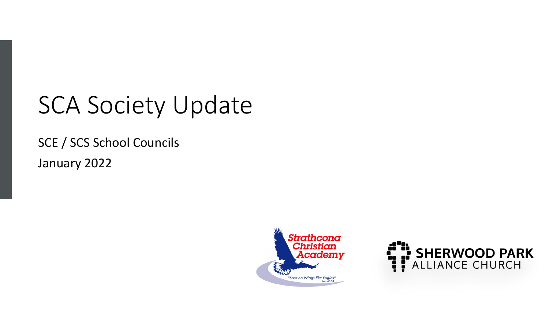## SCA Society Update

SCE / SCS School Councils January 2022



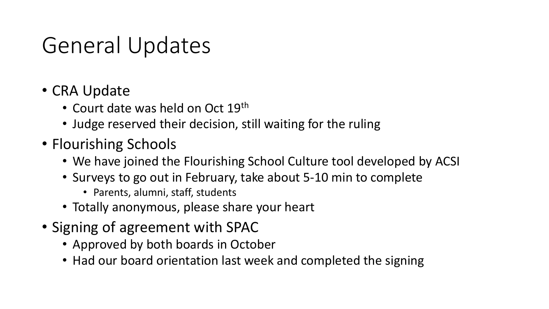### General Updates

- CRA Update
	- Court date was held on Oct 19<sup>th</sup>
	- Judge reserved their decision, still waiting for the ruling
- Flourishing Schools
	- We have joined the Flourishing School Culture tool developed by ACSI
	- Surveys to go out in February, take about 5-10 min to complete
		- Parents, alumni, staff, students
	- Totally anonymous, please share your heart
- Signing of agreement with SPAC
	- Approved by both boards in October
	- Had our board orientation last week and completed the signing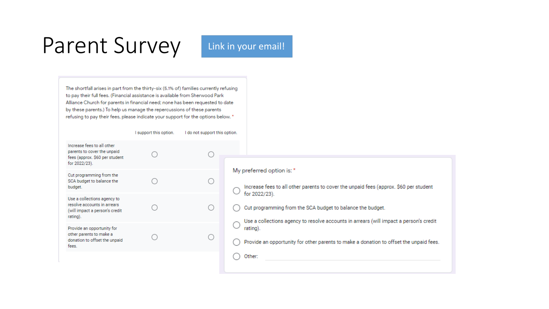#### Parent Survey Link in your email!

The shortfall arises in part from the thirty-six (5.1% of) families currently refusing to pay their full fees. (Financial assistance is available from Sherwood Park Alliance Church for parents in financial need; none has been requested to date by these parents.) To help us manage the repercussions of these parents refusing to pay their fees, please indicate your support for the options below. \*

|                                                                                                              | I support this option. | I do not support this option. |                                                                                                                                                                                                                                                                                                                                                                                                   |
|--------------------------------------------------------------------------------------------------------------|------------------------|-------------------------------|---------------------------------------------------------------------------------------------------------------------------------------------------------------------------------------------------------------------------------------------------------------------------------------------------------------------------------------------------------------------------------------------------|
| Increase fees to all other<br>parents to cover the unpaid<br>fees (approx. \$60 per student<br>for 2022/23). |                        |                               | My preferred option is: *<br>Increase fees to all other parents to cover the unpaid fees (approx. \$60 per student<br>for 2022/23).<br>Cut programming from the SCA budget to balance the budget.<br>Use a collections agency to resolve accounts in arrears (will impact a person's credit<br>rating).<br>Provide an opportunity for other parents to make a donation to offset the unpaid fees. |
| Cut programming from the<br>SCA budget to balance the<br>budget.                                             |                        |                               |                                                                                                                                                                                                                                                                                                                                                                                                   |
| Use a collections agency to<br>resolve accounts in arrears<br>(will impact a person's credit<br>rating).     |                        | 0                             |                                                                                                                                                                                                                                                                                                                                                                                                   |
| Provide an opportunity for<br>other parents to make a<br>donation to offset the unpaid<br>fees.              |                        |                               |                                                                                                                                                                                                                                                                                                                                                                                                   |
|                                                                                                              |                        |                               | Other:                                                                                                                                                                                                                                                                                                                                                                                            |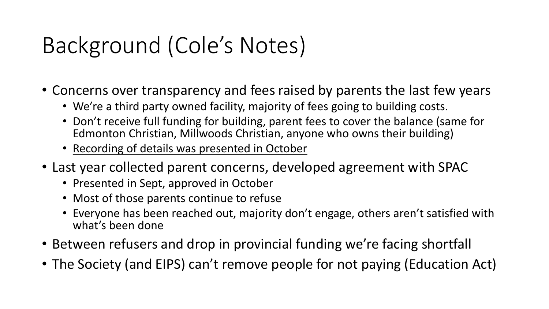## Background (Cole's Notes)

- Concerns over transparency and fees raised by parents the last few years
	- We're a third party owned facility, majority of fees going to building costs.
	- Don't receive full funding for building, parent fees to cover the balance (same for Edmonton Christian, Millwoods Christian, anyone who owns their building)
	- Recording of details was presented in October
- Last year collected parent concerns, developed agreement with SPAC
	- Presented in Sept, approved in October
	- Most of those parents continue to refuse
	- Everyone has been reached out, majority don't engage, others aren't satisfied with what's been done
- Between refusers and drop in provincial funding we're facing shortfall
- The Society (and EIPS) can't remove people for not paying (Education Act)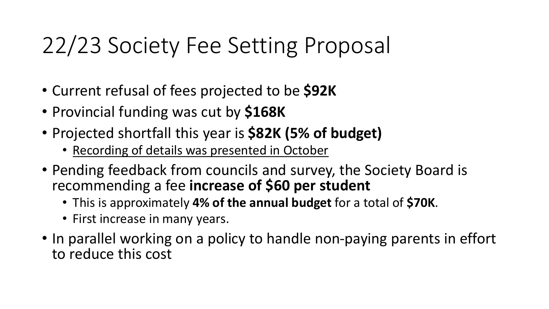## 22/23 Society Fee Setting Proposal

- Current refusal of fees projected to be **\$92K**
- Provincial funding was cut by **\$168K**
- Projected shortfall this year is **\$82K (5% of budget)**
	- Recording of details was presented in October
- Pending feedback from councils and survey, the Society Board is recommending a fee **increase of \$60 per student**
	- This is approximately **4% of the annual budget** for a total of **\$70K**.
	- First increase in many years.
- In parallel working on a policy to handle non-paying parents in effort to reduce this cost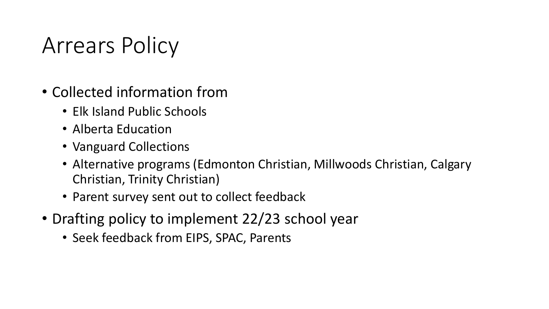#### Arrears Policy

- Collected information from
	- Elk Island Public Schools
	- Alberta Education
	- Vanguard Collections
	- Alternative programs (Edmonton Christian, Millwoods Christian, Calgary Christian, Trinity Christian)
	- Parent survey sent out to collect feedback
- Drafting policy to implement 22/23 school year
	- Seek feedback from EIPS, SPAC, Parents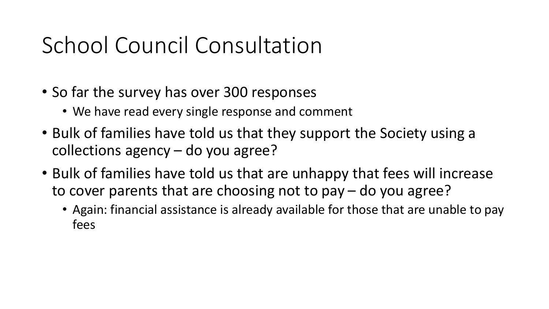## School Council Consultation

- So far the survey has over 300 responses
	- We have read every single response and comment
- Bulk of families have told us that they support the Society using a collections agency – do you agree?
- Bulk of families have told us that are unhappy that fees will increase to cover parents that are choosing not to pay – do you agree?
	- Again: financial assistance is already available for those that are unable to pay fees